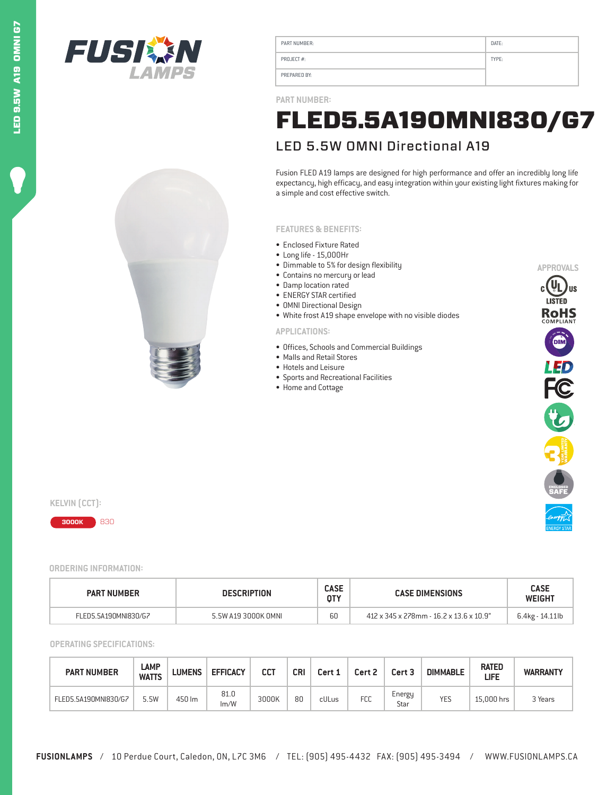



| PART NUMBER: | DATE: |
|--------------|-------|
| PROJECT#:    | TYPE: |
| PREPARED BY: |       |

**PART NUMBER:**

## LED 5.5W OMNI Directional A19 FLED5.5A19OMNI830/G7

Fusion FLED A19 lamps are designed for high performance and offer an incredibly long life expectancy, high efficacy, and easy integration within your existing light fixtures making for a simple and cost effective switch.

## **FEATURES & BENEFITS:**

- Enclosed Fixture Rated
- Long life 15,000Hr
- Dimmable to 5% for design flexibility
- Contains no mercury or lead
- Damp location rated
- ENERGY STAR certified • OMNI Directional Design
- White frost A19 shape envelope with no visible diodes

## **APPLICATIONS:**

- Offices, Schools and Commercial Buildings
- Malls and Retail Stores
- Hotels and Leisure
- Sports and Recreational Facilities
- Home and Cottage



**KELVIN (CCT):** 



**ORDERING INFORMATION:**

| <b>PART NUMBER</b>   | <b>DESCRIPTION</b>  |    | <b>CASE DIMENSIONS</b>                  | <b>CASE</b><br><b>WEIGHT</b> |  |
|----------------------|---------------------|----|-----------------------------------------|------------------------------|--|
| FLED5.5A190MNI830/G7 | 5.5W A19 3000K OMNL | 60 | 412 x 345 x 278mm - 16.2 x 13.6 x 10.9" | 6.4kg - 14.11lb              |  |

**OPERATING SPECIFICATIONS:**

| <b>PART NUMBER</b>   | LAMP<br><b>WATTS</b> | <b>LUMENS</b> | <b>EFFICACY</b> | CCT   | CRI | Cert 1 | Cert 2     | Cert <sub>3</sub> | <b>DIMMABLE</b> | <b>RATED</b><br>LIFE | <b>WARRANTY</b> |
|----------------------|----------------------|---------------|-----------------|-------|-----|--------|------------|-------------------|-----------------|----------------------|-----------------|
| FLED5.5A190MNI830/G7 | 5.5W                 | 450 lm        | 81.0<br>Im/W    | 3000K | 80  | cULus  | <b>FCC</b> | Energy<br>Star    | <b>YES</b>      | 15.000 hrs           | 3 Years         |